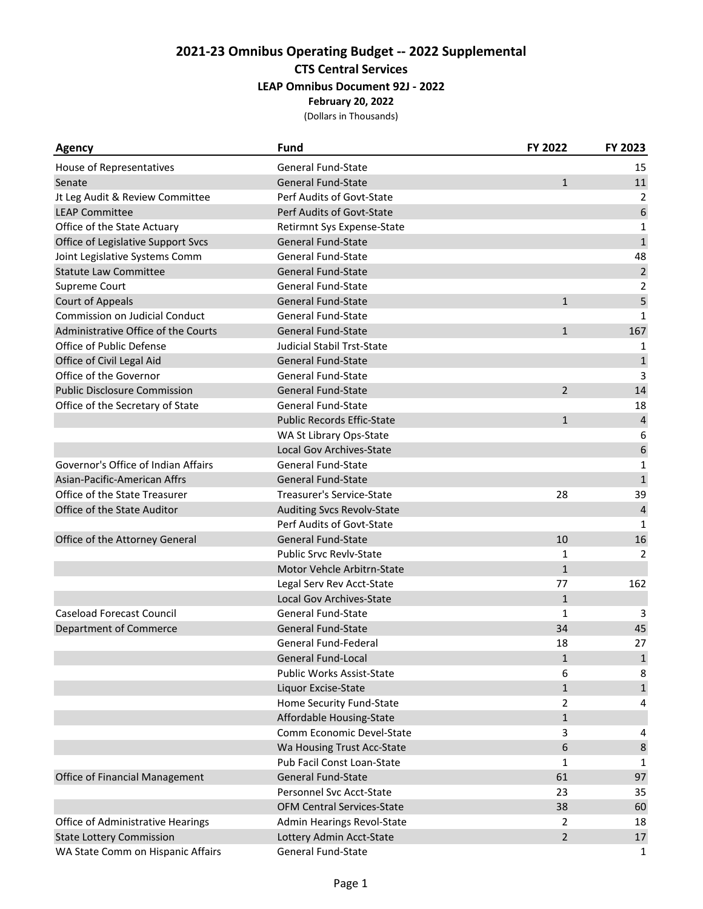| <b>Agency</b>                       | <b>Fund</b>                       | FY 2022        | FY 2023                 |
|-------------------------------------|-----------------------------------|----------------|-------------------------|
| House of Representatives            | <b>General Fund-State</b>         |                | 15                      |
| Senate                              | <b>General Fund-State</b>         | $\mathbf{1}$   | 11                      |
| Jt Leg Audit & Review Committee     | Perf Audits of Govt-State         |                | 2                       |
| <b>LEAP Committee</b>               | Perf Audits of Govt-State         |                | 6                       |
| Office of the State Actuary         | Retirmnt Sys Expense-State        |                | $\mathbf{1}$            |
| Office of Legislative Support Svcs  | <b>General Fund-State</b>         |                | $\mathbf 1$             |
| Joint Legislative Systems Comm      | <b>General Fund-State</b>         |                | 48                      |
| <b>Statute Law Committee</b>        | General Fund-State                |                | $\sqrt{2}$              |
| Supreme Court                       | General Fund-State                |                | $\overline{2}$          |
| <b>Court of Appeals</b>             | <b>General Fund-State</b>         | $\mathbf{1}$   | 5                       |
| Commission on Judicial Conduct      | <b>General Fund-State</b>         |                | $\mathbf{1}$            |
| Administrative Office of the Courts | <b>General Fund-State</b>         | $\mathbf{1}$   | 167                     |
| Office of Public Defense            | <b>Judicial Stabil Trst-State</b> |                | 1                       |
| Office of Civil Legal Aid           | <b>General Fund-State</b>         |                | $\mathbf 1$             |
| Office of the Governor              | <b>General Fund-State</b>         |                | 3                       |
| <b>Public Disclosure Commission</b> | <b>General Fund-State</b>         | 2              | 14                      |
| Office of the Secretary of State    | General Fund-State                |                | 18                      |
|                                     | <b>Public Records Effic-State</b> | $\mathbf{1}$   | 4                       |
|                                     | WA St Library Ops-State           |                | 6                       |
|                                     | Local Gov Archives-State          |                | 6                       |
| Governor's Office of Indian Affairs | <b>General Fund-State</b>         |                | 1                       |
| Asian-Pacific-American Affrs        | <b>General Fund-State</b>         |                | $\mathbf 1$             |
| Office of the State Treasurer       | Treasurer's Service-State         | 28             | 39                      |
| Office of the State Auditor         | <b>Auditing Svcs Revolv-State</b> |                | $\overline{\mathbf{4}}$ |
|                                     | Perf Audits of Govt-State         |                | 1                       |
| Office of the Attorney General      | General Fund-State                | 10             | 16                      |
|                                     | <b>Public Srvc Revly-State</b>    | 1              | 2                       |
|                                     | Motor Vehcle Arbitrn-State        | $\mathbf{1}$   |                         |
|                                     | Legal Serv Rev Acct-State         | 77             | 162                     |
|                                     | Local Gov Archives-State          | $\mathbf{1}$   |                         |
| <b>Caseload Forecast Council</b>    | <b>General Fund-State</b>         | $\mathbf{1}$   | 3                       |
| Department of Commerce              | <b>General Fund-State</b>         | 34             | 45                      |
|                                     | General Fund-Federal              | 18             | 27                      |
|                                     | General Fund-Local                | $\mathbf 1$    | $\mathbf 1$             |
|                                     | Public Works Assist-State         | 6              | 8                       |
|                                     | Liquor Excise-State               | $\mathbf{1}$   | $\mathbf{1}$            |
|                                     | Home Security Fund-State          | $\overline{2}$ | 4                       |
|                                     | Affordable Housing-State          | $\mathbf{1}$   |                         |
|                                     | Comm Economic Devel-State         | 3              | 4                       |
|                                     | Wa Housing Trust Acc-State        | 6              | $\bf 8$                 |
|                                     | Pub Facil Const Loan-State        | 1              | 1                       |
| Office of Financial Management      | General Fund-State                | 61             | 97                      |
|                                     | Personnel Svc Acct-State          | 23             | 35                      |
|                                     | <b>OFM Central Services-State</b> | 38             | 60                      |
| Office of Administrative Hearings   | Admin Hearings Revol-State        | $\overline{2}$ | 18                      |
| <b>State Lottery Commission</b>     | Lottery Admin Acct-State          | $\overline{2}$ | 17                      |
| WA State Comm on Hispanic Affairs   | General Fund-State                |                | 1                       |
|                                     |                                   |                |                         |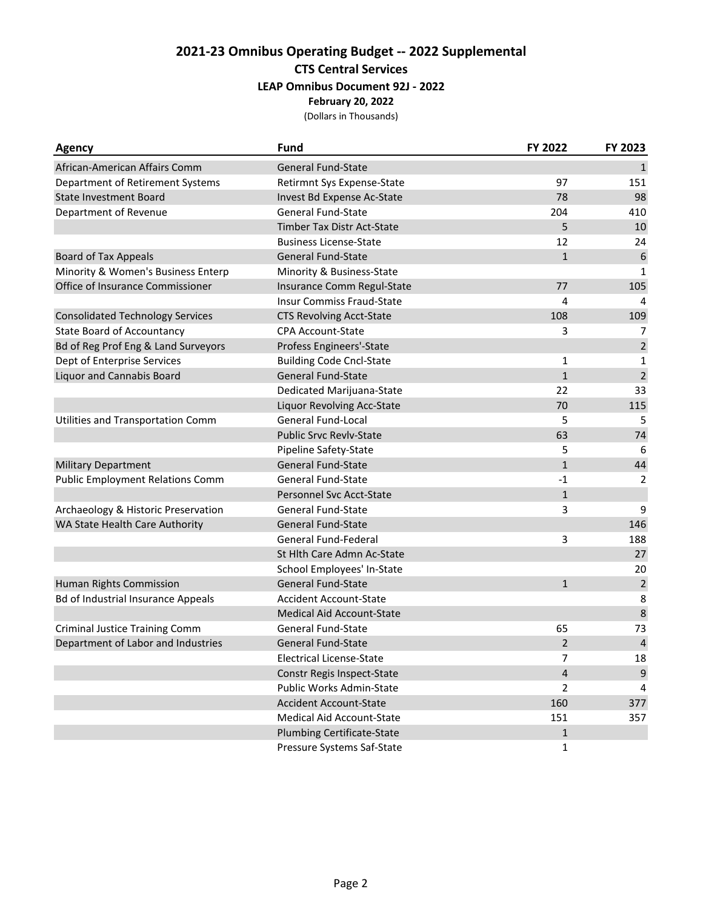| <b>Agency</b>                             | <b>Fund</b>                       | FY 2022        | FY 2023          |
|-------------------------------------------|-----------------------------------|----------------|------------------|
| African-American Affairs Comm             | <b>General Fund-State</b>         |                | $\mathbf{1}$     |
| Department of Retirement Systems          | Retirmnt Sys Expense-State        | 97             | 151              |
| <b>State Investment Board</b>             | Invest Bd Expense Ac-State        | 78             | 98               |
| Department of Revenue                     | <b>General Fund-State</b>         | 204            | 410              |
|                                           | Timber Tax Distr Act-State        | 5              | 10               |
|                                           | <b>Business License-State</b>     | 12             | 24               |
| <b>Board of Tax Appeals</b>               | <b>General Fund-State</b>         | $\mathbf{1}$   | 6                |
| Minority & Women's Business Enterp        | Minority & Business-State         |                | $\mathbf{1}$     |
| Office of Insurance Commissioner          | Insurance Comm Regul-State        | 77             | 105              |
|                                           | Insur Commiss Fraud-State         | 4              | 4                |
| <b>Consolidated Technology Services</b>   | <b>CTS Revolving Acct-State</b>   | 108            | 109              |
| <b>State Board of Accountancy</b>         | <b>CPA Account-State</b>          | 3              | 7                |
| Bd of Reg Prof Eng & Land Surveyors       | Profess Engineers'-State          |                | $\overline{2}$   |
| Dept of Enterprise Services               | <b>Building Code Cncl-State</b>   | $\mathbf{1}$   | 1                |
| <b>Liquor and Cannabis Board</b>          | <b>General Fund-State</b>         | $\mathbf{1}$   | $\overline{2}$   |
|                                           | Dedicated Marijuana-State         | 22             | 33               |
|                                           | Liquor Revolving Acc-State        | 70             | 115              |
| Utilities and Transportation Comm         | <b>General Fund-Local</b>         | 5              | 5                |
|                                           | <b>Public Srvc Revlv-State</b>    | 63             | 74               |
|                                           | Pipeline Safety-State             | 5              | 6                |
| <b>Military Department</b>                | General Fund-State                | $\mathbf{1}$   | 44               |
| <b>Public Employment Relations Comm</b>   | <b>General Fund-State</b>         | $-1$           | 2                |
|                                           | Personnel Svc Acct-State          | $\mathbf{1}$   |                  |
| Archaeology & Historic Preservation       | <b>General Fund-State</b>         | 3              | 9                |
| WA State Health Care Authority            | <b>General Fund-State</b>         |                | 146              |
|                                           | General Fund-Federal              | 3              | 188              |
|                                           | St Hlth Care Admn Ac-State        |                | 27               |
|                                           | School Employees' In-State        |                | 20               |
| Human Rights Commission                   | <b>General Fund-State</b>         | $\mathbf{1}$   | $\sqrt{2}$       |
| <b>Bd of Industrial Insurance Appeals</b> | <b>Accident Account-State</b>     |                | 8                |
|                                           | <b>Medical Aid Account-State</b>  |                | $\,8\,$          |
| <b>Criminal Justice Training Comm</b>     | <b>General Fund-State</b>         | 65             | 73               |
| Department of Labor and Industries        | <b>General Fund-State</b>         | $\overline{2}$ | $\sqrt{4}$       |
|                                           | <b>Electrical License-State</b>   | 7              | 18               |
|                                           | Constr Regis Inspect-State        | 4              | $\boldsymbol{9}$ |
|                                           | Public Works Admin-State          | 2              | 4                |
|                                           | <b>Accident Account-State</b>     | 160            | 377              |
|                                           | Medical Aid Account-State         | 151            | 357              |
|                                           | <b>Plumbing Certificate-State</b> | $\mathbf{1}$   |                  |
|                                           | Pressure Systems Saf-State        | 1              |                  |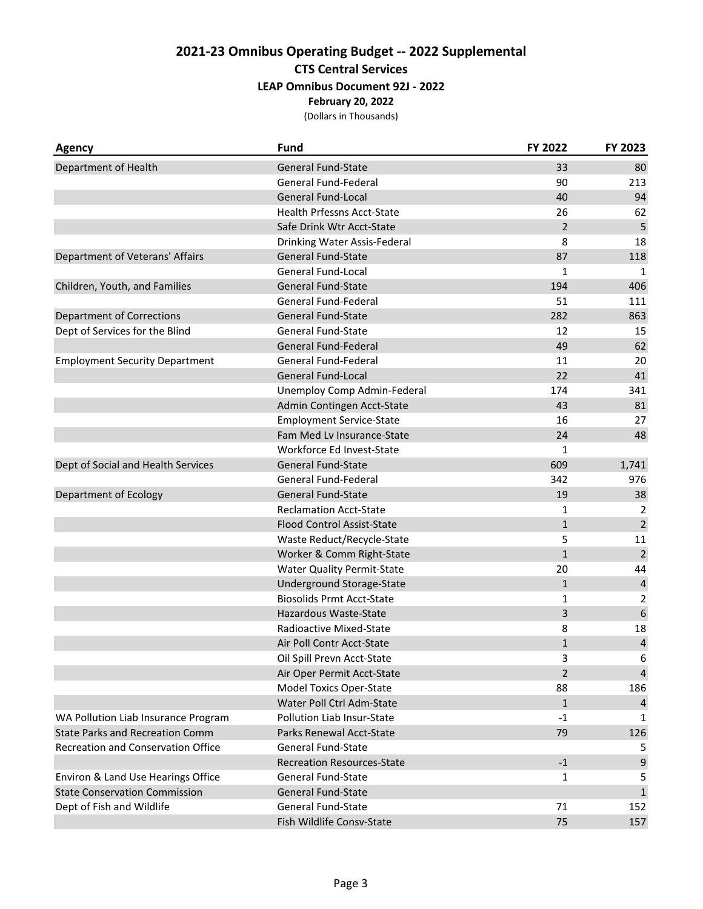| Agency                                 | <b>Fund</b>                       | FY 2022        | FY 2023                 |
|----------------------------------------|-----------------------------------|----------------|-------------------------|
| Department of Health                   | <b>General Fund-State</b>         | 33             | 80                      |
|                                        | General Fund-Federal              | 90             | 213                     |
|                                        | <b>General Fund-Local</b>         | 40             | 94                      |
|                                        | <b>Health Prfessns Acct-State</b> | 26             | 62                      |
|                                        | Safe Drink Wtr Acct-State         | $\overline{2}$ | 5                       |
|                                        | Drinking Water Assis-Federal      | 8              | 18                      |
| Department of Veterans' Affairs        | <b>General Fund-State</b>         | 87             | 118                     |
|                                        | <b>General Fund-Local</b>         | 1              | 1                       |
| Children, Youth, and Families          | <b>General Fund-State</b>         | 194            | 406                     |
|                                        | General Fund-Federal              | 51             | 111                     |
| <b>Department of Corrections</b>       | <b>General Fund-State</b>         | 282            | 863                     |
| Dept of Services for the Blind         | <b>General Fund-State</b>         | 12             | 15                      |
|                                        | General Fund-Federal              | 49             | 62                      |
| <b>Employment Security Department</b>  | General Fund-Federal              | 11             | 20                      |
|                                        | <b>General Fund-Local</b>         | 22             | 41                      |
|                                        | Unemploy Comp Admin-Federal       | 174            | 341                     |
|                                        | Admin Contingen Acct-State        | 43             | 81                      |
|                                        | <b>Employment Service-State</b>   | 16             | 27                      |
|                                        | Fam Med Lv Insurance-State        | 24             | 48                      |
|                                        | Workforce Ed Invest-State         | 1              |                         |
| Dept of Social and Health Services     | <b>General Fund-State</b>         | 609            | 1,741                   |
|                                        | General Fund-Federal              | 342            | 976                     |
| Department of Ecology                  | <b>General Fund-State</b>         | 19             | 38                      |
|                                        | <b>Reclamation Acct-State</b>     | 1              | 2                       |
|                                        | <b>Flood Control Assist-State</b> | $\mathbf{1}$   | $\sqrt{2}$              |
|                                        | Waste Reduct/Recycle-State        | 5              | 11                      |
|                                        | Worker & Comm Right-State         | $\mathbf{1}$   | $\overline{2}$          |
|                                        | <b>Water Quality Permit-State</b> | 20             | 44                      |
|                                        | Underground Storage-State         | $\mathbf{1}$   | $\overline{\mathbf{4}}$ |
|                                        | <b>Biosolids Prmt Acct-State</b>  | 1              | 2                       |
|                                        | Hazardous Waste-State             | 3              | $\boldsymbol{6}$        |
|                                        | Radioactive Mixed-State           | 8              | 18                      |
|                                        | Air Poll Contr Acct-State         | $\mathbf{1}$   | $\overline{\mathbf{4}}$ |
|                                        | Oil Spill Prevn Acct-State        | 3              | 6                       |
|                                        | Air Oper Permit Acct-State        | $\overline{2}$ | $\overline{4}$          |
|                                        | Model Toxics Oper-State           | 88             | 186                     |
|                                        | Water Poll Ctrl Adm-State         | $\mathbf{1}$   | 4                       |
| WA Pollution Liab Insurance Program    | Pollution Liab Insur-State        | $-1$           | 1                       |
| <b>State Parks and Recreation Comm</b> | Parks Renewal Acct-State          | 79             | 126                     |
| Recreation and Conservation Office     | <b>General Fund-State</b>         |                | 5                       |
|                                        | <b>Recreation Resources-State</b> | $-1$           | 9                       |
| Environ & Land Use Hearings Office     | <b>General Fund-State</b>         | 1              | 5                       |
| <b>State Conservation Commission</b>   | <b>General Fund-State</b>         |                | $\mathbf{1}$            |
| Dept of Fish and Wildlife              | <b>General Fund-State</b>         | 71             | 152                     |
|                                        | Fish Wildlife Consv-State         | 75             | 157                     |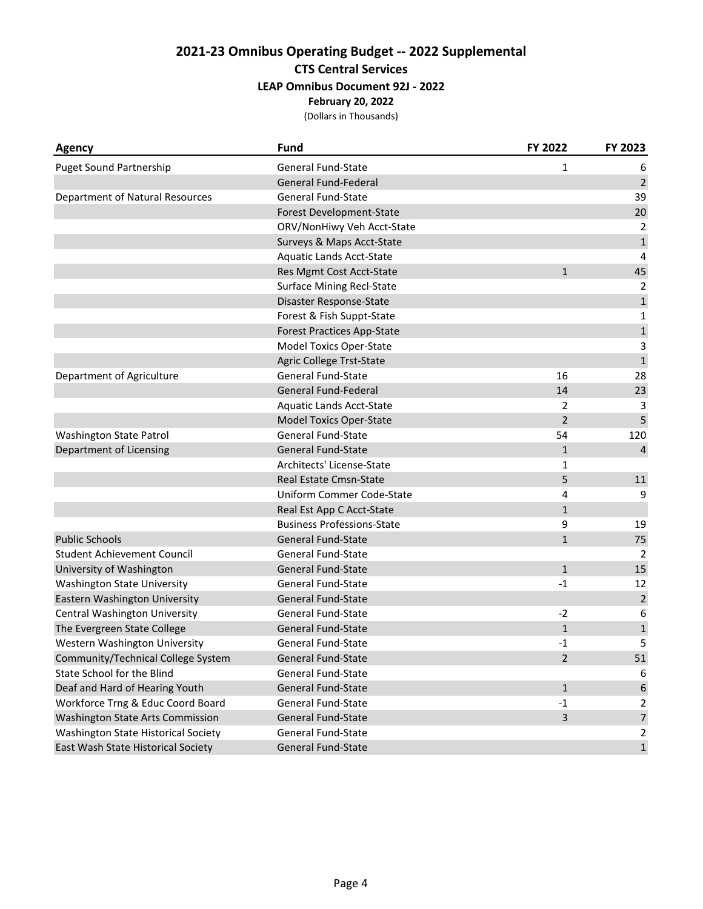| Agency                              | <b>Fund</b>                       | FY 2022        | FY 2023          |
|-------------------------------------|-----------------------------------|----------------|------------------|
| <b>Puget Sound Partnership</b>      | <b>General Fund-State</b>         | 1              | 6                |
|                                     | <b>General Fund-Federal</b>       |                | $\sqrt{2}$       |
| Department of Natural Resources     | <b>General Fund-State</b>         |                | 39               |
|                                     | Forest Development-State          |                | 20               |
|                                     | ORV/NonHiwy Veh Acct-State        |                | 2                |
|                                     | Surveys & Maps Acct-State         |                | $\mathbf 1$      |
|                                     | Aquatic Lands Acct-State          |                | 4                |
|                                     | Res Mgmt Cost Acct-State          | $\mathbf{1}$   | 45               |
|                                     | <b>Surface Mining Recl-State</b>  |                | 2                |
|                                     | Disaster Response-State           |                | $\mathbf 1$      |
|                                     | Forest & Fish Suppt-State         |                | $\mathbf{1}$     |
|                                     | <b>Forest Practices App-State</b> |                | $\mathbf 1$      |
|                                     | <b>Model Toxics Oper-State</b>    |                | 3                |
|                                     | Agric College Trst-State          |                | $\mathbf 1$      |
| Department of Agriculture           | <b>General Fund-State</b>         | 16             | 28               |
|                                     | <b>General Fund-Federal</b>       | 14             | 23               |
|                                     | Aquatic Lands Acct-State          | $\overline{2}$ | 3                |
|                                     | <b>Model Toxics Oper-State</b>    | $\overline{2}$ | 5                |
| Washington State Patrol             | General Fund-State                | 54             | 120              |
| Department of Licensing             | <b>General Fund-State</b>         | $\mathbf{1}$   | 4                |
|                                     | Architects' License-State         | 1              |                  |
|                                     | Real Estate Cmsn-State            | 5              | 11               |
|                                     | Uniform Commer Code-State         | 4              | 9                |
|                                     | Real Est App C Acct-State         | $\mathbf{1}$   |                  |
|                                     | <b>Business Professions-State</b> | 9              | 19               |
| <b>Public Schools</b>               | General Fund-State                | $\mathbf{1}$   | 75               |
| <b>Student Achievement Council</b>  | <b>General Fund-State</b>         |                | 2                |
| University of Washington            | <b>General Fund-State</b>         | $\mathbf{1}$   | 15               |
| <b>Washington State University</b>  | General Fund-State                | $-1$           | 12               |
| Eastern Washington University       | <b>General Fund-State</b>         |                | $\overline{2}$   |
| Central Washington University       | General Fund-State                | $-2$           | 6                |
| The Evergreen State College         | <b>General Fund-State</b>         | $\mathbf{1}$   | $\mathbf{1}$     |
| Western Washington University       | <b>General Fund-State</b>         | -1             | 5                |
| Community/Technical College System  | <b>General Fund-State</b>         | 2              | 51               |
| State School for the Blind          | General Fund-State                |                | 6                |
| Deaf and Hard of Hearing Youth      | <b>General Fund-State</b>         | $\mathbf{1}$   | $\boldsymbol{6}$ |
| Workforce Trng & Educ Coord Board   | General Fund-State                | $-1$           | 2                |
| Washington State Arts Commission    | <b>General Fund-State</b>         | 3              | $\overline{7}$   |
| Washington State Historical Society | <b>General Fund-State</b>         |                | 2                |
| East Wash State Historical Society  | General Fund-State                |                | $\mathbf 1$      |